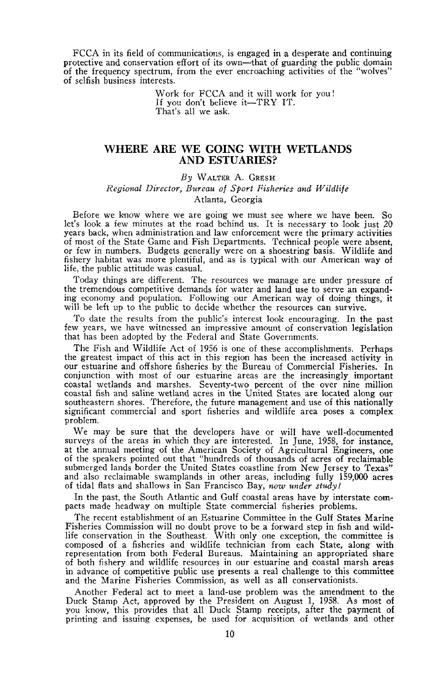FCCA in its field of communications, is engaged in a desperate and continuing protective and conservation effort of its own-that of guarding the public domain of the frequency spectrum, from the ever encroaching activities of the "wolves" of selfish business interests.

> Work for FCCA and it will work for you! If you don't believe it-TRY IT. That's all we ask.

## **WHERE ARE WE GOING WITH WETLANDS AND ESTUARIES?**

### *By* WALTER A. GRESH *Regional Director, Bureau of Sport Fisheries and Wildlife* Atlanta, Georgia

Before we know where we are going we must see where we have been. So let's look a few minutes at the road behind us. It is necessary to look just 20 years back, when administration and law enforcement were the primary activities of most of the State Game and Fish Departments. Technical people were absent, or few in numbers. Budgets generally were on a shoestring basis. Wildlife and fishery habitat was more plentiful, and as is typical with our American way of life, the public attitude was casual.

Today things are different. The resources we manage are under pressure of the tremendous competitive demands for water and land use to serve an expanding economy and population. Following our American way of doing things, it will be left up to the public to decide whether the resources can survive.

To date the results from the public's interest look encouraging. In the past few years, we have witnessed an impressive amount of conservation legislation that has been adopted by the Federal and State Governments.

The Fish and Wildlife Act of 1956 is one of these accomplishments. Perhaps the greatest impact of this act in this region has been the increased activity in our estuarine and offshore fisheries by the Bureau of Commercial Fisheries. In conjunction with most of our estuarine areas are the increasingly important coastal wetlands and marshes. Seventy-two percent of the over nine million southeastern shores. Therefore, the future management and use of this nationally significant commercial and sport fisheries and wildlife area poses a complex problem.

We may be sure that the developers have or will have well-documented surveys of the areas in which they are interested. In]une, 1958, for instance, at the annual meeting of the American Society of Agricultural Engineers, one of the speakers pointed out that "hundreds of thousands of acres of reclaimable submerged lands border the United States coastline from New Jersey to Texas" and also reclaimable swamplands in other areas, including fully 159,000 acres of tidal flats and shallows in San Francisco Bay, now *under* study!

In the past, the South Atlantic and Gulf coastal areas have by interstate com- pacts made headway on multiple State commercial fisheries problems.

The recent establishment of an Estuarine Committee in the Gulf States Marine Fisheries Commission will no doubt prove to be a forward step in fish and wildlife conservation in the Southeast. With only one exception, the committee is composed of a fisheries and wildlife technician from each State, along with representation from both Federal Bureaus. Maintaining an appropriated share in advance of competitive public use presents a real challenge to this committee and the Marine Fisheries Commission, as well as all conservationists.

Another Federal act to meet a land-use problem was the amendment to the Duck Stamp Act, approved by the President on August 1, 1958. As most of you know, this provides that all Duck Stamp receipts, after the payment of printing and issuing expenses, be used for acquisition of wetlands and other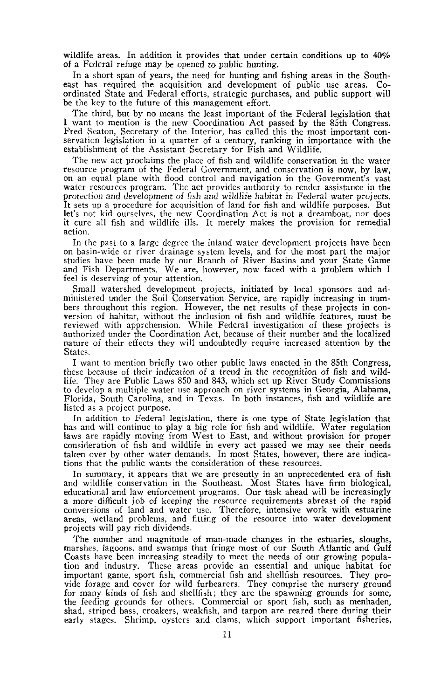wildlife areas. In addition it provides that under certain conditions up to 40% of a Federal refuge may be opened to public hunting.

In a short span of years, the need for hunting and fishing areas in the Southeast has required the acquisition and development of public use areas. Coordinated State and Federal efforts, strategic purchases, and public support will be the key to the future of this management effort.

The third, but by no means the least important of the Federal legislation that I want to mention is the new Coordination Act passed by the 85th Congress. servation legislation in a quarter of a century, ranking in importance with the establishment of the Assistant Secretary for Fish and Wildlife.

The new act proclaims the place of fish and wildlife conservation in the water<br>resource program of the Federal Government, and conservation is now, by law,<br>on an equal plane with flood control and navigation in the Governm water resources program. The act provides authority to render assistance in the protection and development of fish and wildlife habitat in Federal water projects. It sets up a procedure for acquisition of land for fish and wildlife purposes. But let's not kid ourselves, the new Coordination Act is not a dreamboat, nor does it cure all fish and wildlife ills. It merely makes the provision for remedial action.

In the past to <sup>a</sup> large degree the inland water development projects have been on basin-wide or river drainage system levels, and for the most part the major studies have been made by our Branch of River Basins and your State Game and Fish Departments. We are, however, now faced with a problem which I feel is deserving of your attention.

Small watershed development projects, initiated by local sponsors and administered under the Soil Conservation Service, are rapidly increasing in numbers throughout this region. However, the net results of these projects in conversion of habitat, without the inclusion of fish and wildlife features, must be reviewed with apprehension. While Federal investigation of these projects is authorized under the Coordination Act, because of their number and the localized nature of their effects they will undoubtedly require increased attention by the States.

I want to mention briefly two other public laws enacted in the 85th Congress, these because of their indication of a trend in the recognition of fish and wildlife. They are Public Laws 850 and 843, which set up River Study Commissions to develop a multiple water use approach on river systems in Georgia, Alabama, Florida, South Carolina, and in Texas. In both instances, fish and wildlife are listed as a project purpose.

In addition to Federal legislation, there is one type of State legislation that has and will continue to play a big role for fish and wildlife. Water regulation laws are rapidly moving from West to East, and without provision for proper consideration of fish and wildlife in every act passed we may see their needs taken over by other water demands. In most States, however, there are indications that the public wants the consideration of these resources.

In summary, it appears that we are presently in an unprecedented era of fish and wildlife conservation in the Southeast. Most States have firm biological,<br>educational and law enforcement programs. Our task ahead will be increasingly<br>a more difficult job of keeping the resource requirements abreast conversions of land and water use. Therefore, intensive work with estuarine areas, wetland problems, and fitting of the resource into water development projects will pay rich dividends.

The number and magnitude of man-made changes in the estuaries, sloughs, marshes, lagoons, and swamps that fringe most of our South Atlantic and Gulf Coasts have been increasing steadily to meet the needs of our growing population and industry. These areas provide an essential and unique habitat for important game, sport fish, commercial fish and shellfish resources. They provide forage and cover for wild furbearers. They comprise the nursery ground for many kinds of fish and shellfish; they are the spawning grounds for some, the feeding grounds for others. Commercial or sport fish, such as menhaden, shad, striped bass, croakers, weakfish, and tarpon are reared there during their early stages. Shrimp, oysters and clams, which support important fisheries,